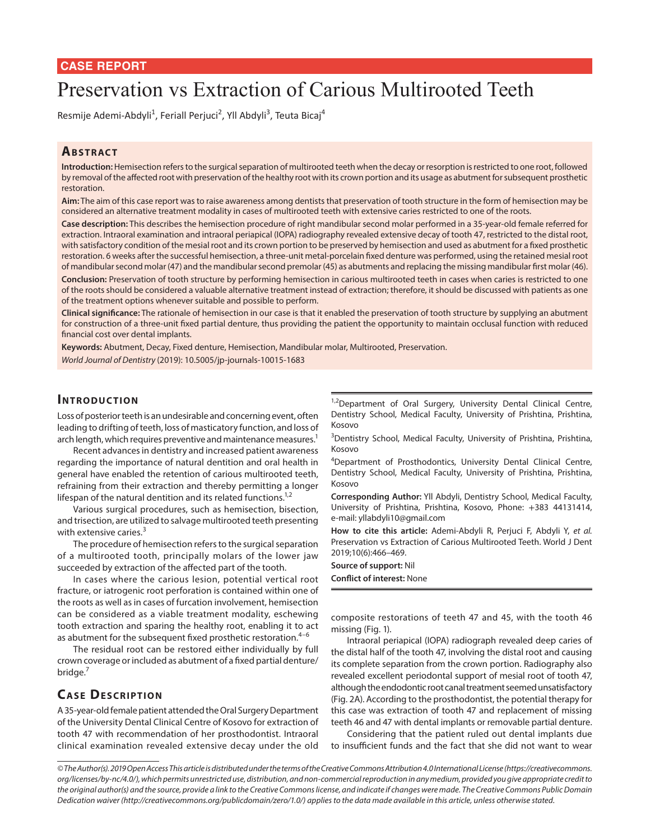# Preservation vs Extraction of Carious Multirooted Teeth

Resmije Ademi-Abdyli<sup>1</sup>, Feriall Perjuci<sup>2</sup>, Yll Abdyli<sup>3</sup>, Teuta Bicaj<sup>4</sup>

## **ABSTRACT**

**Introduction:** Hemisection refers to the surgical separation of multirooted teeth when the decay or resorption is restricted to one root, followed by removal of the affected root with preservation of the healthy root with its crown portion and its usage as abutment for subsequent prosthetic restoration.

**Aim:** The aim of this case report was to raise awareness among dentists that preservation of tooth structure in the form of hemisection may be considered an alternative treatment modality in cases of multirooted teeth with extensive caries restricted to one of the roots.

**Case description:** This describes the hemisection procedure of right mandibular second molar performed in a 35-year-old female referred for extraction. Intraoral examination and intraoral periapical (IOPA) radiography revealed extensive decay of tooth 47, restricted to the distal root, with satisfactory condition of the mesial root and its crown portion to be preserved by hemisection and used as abutment for a fixed prosthetic restoration. 6 weeks after the successful hemisection, a three-unit metal-porcelain fixed denture was performed, using the retained mesial root of mandibular second molar (47) and the mandibular second premolar (45) as abutments and replacing the missing mandibular first molar (46). **Conclusion:** Preservation of tooth structure by performing hemisection in carious multirooted teeth in cases when caries is restricted to one of the roots should be considered a valuable alternative treatment instead of extraction; therefore, it should be discussed with patients as one of the treatment options whenever suitable and possible to perform.

**Clinical significance:** The rationale of hemisection in our case is that it enabled the preservation of tooth structure by supplying an abutment for construction of a three-unit fixed partial denture, thus providing the patient the opportunity to maintain occlusal function with reduced financial cost over dental implants.

**Keywords:** Abutment, Decay, Fixed denture, Hemisection, Mandibular molar, Multirooted, Preservation. *World Journal of Dentistry* (2019): 10.5005/jp-journals-10015-1683

#### **INTRODUCTION**

Loss of posterior teeth is an undesirable and concerning event, often leading to drifting of teeth, loss of masticatory function, and loss of arch length, which requires preventive and maintenance measures.<sup>1</sup>

Recent advances in dentistry and increased patient awareness regarding the importance of natural dentition and oral health in general have enabled the retention of carious multirooted teeth, refraining from their extraction and thereby permitting a longer lifespan of the natural dentition and its related functions.<sup>1,2</sup>

Various surgical procedures, such as hemisection, bisection, and trisection, are utilized to salvage multirooted teeth presenting with extensive caries.<sup>3</sup>

The procedure of hemisection refers to the surgical separation of a multirooted tooth, principally molars of the lower jaw succeeded by extraction of the affected part of the tooth.

In cases where the carious lesion, potential vertical root fracture, or iatrogenic root perforation is contained within one of the roots as well as in cases of furcation involvement, hemisection can be considered as a viable treatment modality, eschewing tooth extraction and sparing the healthy root, enabling it to act as abutment for the subsequent fixed prosthetic restoration.<sup>4-6</sup>

The residual root can be restored either individually by full crown coverage or included as abutment of a fixed partial denture/ bridge.<sup>7</sup>

# **CASE DESCRIPTION**

A 35-year-old female patient attended the Oral Surgery Department of the University Dental Clinical Centre of Kosovo for extraction of tooth 47 with recommendation of her prosthodontist. Intraoral clinical examination revealed extensive decay under the old

<sup>1,2</sup>Department of Oral Surgery, University Dental Clinical Centre, Dentistry School, Medical Faculty, University of Prishtina, Prishtina, Kosovo

<sup>3</sup>Dentistry School, Medical Faculty, University of Prishtina, Prishtina, Kosovo

<sup>4</sup>Department of Prosthodontics, University Dental Clinical Centre, Dentistry School, Medical Faculty, University of Prishtina, Prishtina, Kosovo

**Corresponding Author:** Yll Abdyli, Dentistry School, Medical Faculty, University of Prishtina, Prishtina, Kosovo, Phone: +383 44131414, e-mail: yllabdyli10@gmail.com

**How to cite this article:** Ademi-Abdyli R, Perjuci F, Abdyli Y, *et al.* Preservation vs Extraction of Carious Multirooted Teeth. World J Dent 2019;10(6):466–469.

**Source of support:** Nil **Conflict of interest:** None

composite restorations of teeth 47 and 45, with the tooth 46 missing (Fig. 1).

Intraoral periapical (IOPA) radiograph revealed deep caries of the distal half of the tooth 47, involving the distal root and causing its complete separation from the crown portion. Radiography also revealed excellent periodontal support of mesial root of tooth 47, although the endodontic root canal treatment seemed unsatisfactory (Fig. 2A). According to the prosthodontist, the potential therapy for this case was extraction of tooth 47 and replacement of missing teeth 46 and 47 with dental implants or removable partial denture.

Considering that the patient ruled out dental implants due to insufficient funds and the fact that she did not want to wear

*<sup>©</sup> The Author(s). 2019 Open Access This article is distributed under the terms of the Creative Commons Attribution 4.0 International License (https://creativecommons. org/licenses/by-nc/4.0/), which permits unrestricted use, distribution, and non-commercial reproduction in any medium, provided you give appropriate credit to the original author(s) and the source, provide a link to the Creative Commons license, and indicate if changes were made. The Creative Commons Public Domain Dedication waiver (http://creativecommons.org/publicdomain/zero/1.0/) applies to the data made available in this article, unless otherwise stated.*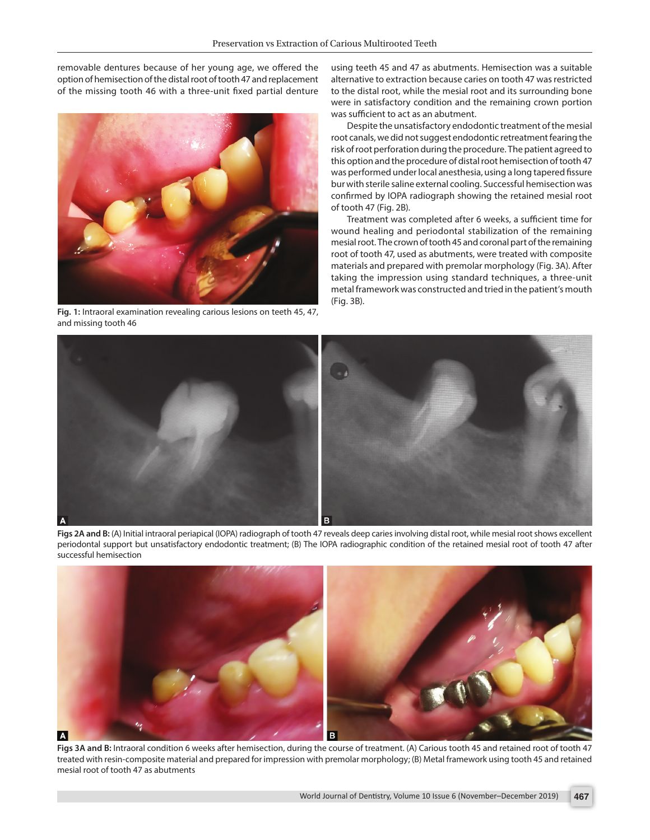removable dentures because of her young age, we offered the option of hemisection of the distal root of tooth 47 and replacement of the missing tooth 46 with a three-unit fixed partial denture



**Fig. 1:** Intraoral examination revealing carious lesions on teeth 45, 47, and missing tooth 46

using teeth 45 and 47 as abutments. Hemisection was a suitable alternative to extraction because caries on tooth 47 was restricted to the distal root, while the mesial root and its surrounding bone were in satisfactory condition and the remaining crown portion was sufficient to act as an abutment.

Despite the unsatisfactory endodontic treatment of the mesial root canals, we did not suggest endodontic retreatment fearing the risk of root perforation during the procedure. The patient agreed to this option and the procedure of distal root hemisection of tooth 47 was performed under local anesthesia, using a long tapered fissure bur with sterile saline external cooling. Successful hemisection was confirmed by IOPA radiograph showing the retained mesial root of tooth 47 (Fig. 2B).

Treatment was completed after 6 weeks, a sufficient time for wound healing and periodontal stabilization of the remaining mesial root. The crown of tooth 45 and coronal part of the remaining root of tooth 47, used as abutments, were treated with composite materials and prepared with premolar morphology (Fig. 3A). After taking the impression using standard techniques, a three-unit metal framework was constructed and tried in the patient's mouth (Fig. 3B).



**Figs 2A and B:** (A) Initial intraoral periapical (IOPA) radiograph of tooth 47 reveals deep caries involving distal root, while mesial root shows excellent periodontal support but unsatisfactory endodontic treatment; (B) The IOPA radiographic condition of the retained mesial root of tooth 47 after successful hemisection



**Figs 3A and B:** Intraoral condition 6 weeks after hemisection, during the course of treatment. (A) Carious tooth 45 and retained root of tooth 47 treated with resin-composite material and prepared for impression with premolar morphology; (B) Metal framework using tooth 45 and retained mesial root of tooth 47 as abutments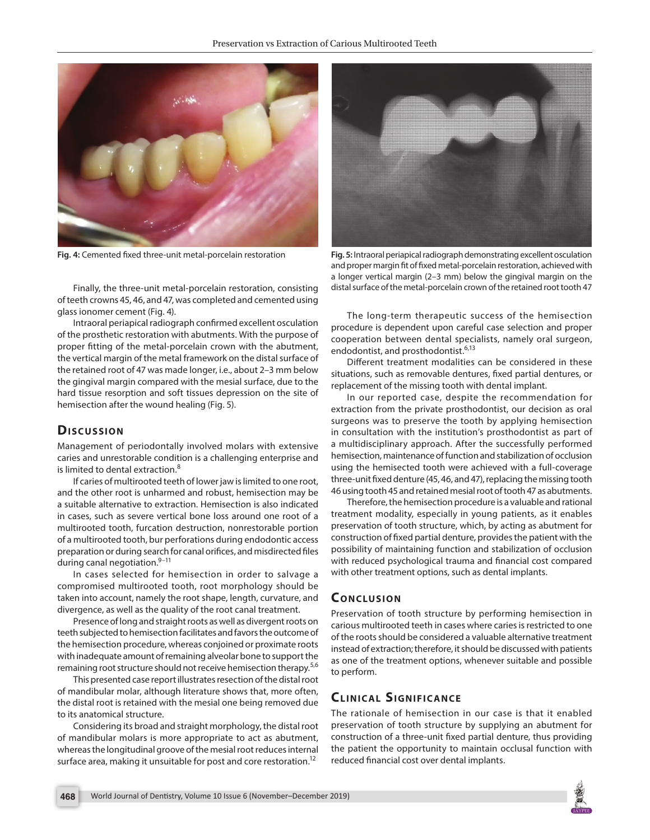

Finally, the three-unit metal-porcelain restoration, consisting of teeth crowns 45, 46, and 47, was completed and cemented using glass ionomer cement (Fig. 4).

Intraoral periapical radiograph confirmed excellent osculation of the prosthetic restoration with abutments. With the purpose of proper fitting of the metal-porcelain crown with the abutment, the vertical margin of the metal framework on the distal surface of the retained root of 47 was made longer, i.e., about 2–3 mm below the gingival margin compared with the mesial surface, due to the hard tissue resorption and soft tissues depression on the site of hemisection after the wound healing (Fig. 5).

#### **Dis c u s sio n**

Management of periodontally involved molars with extensive caries and unrestorable condition is a challenging enterprise and is limited to dental extraction  $8$ 

If caries of multirooted teeth of lower jaw is limited to one root, and the other root is unharmed and robust, hemisection may be a suitable alternative to extraction. Hemisection is also indicated in cases, such as severe vertical bone loss around one root of a multirooted tooth, furcation destruction, nonrestorable portion of a multirooted tooth, bur perforations during endodontic access preparation or during search for canal orifices, and misdirected files during canal negotiation. $9-11$ 

In cases selected for hemisection in order to salvage a compromised multirooted tooth, root morphology should be taken into account, namely the root shape, length, curvature, and divergence, as well as the quality of the root canal treatment.

Presence of long and straight roots as well as divergent roots on teeth subjected to hemisection facilitates and favors the outcome of the hemisection procedure, whereas conjoined or proximate roots with inadequate amount of remaining alveolar bone to support the remaining root structure should not receive hemisection therapy.<sup>5,6</sup>

This presented case report illustrates resection of the distal root of mandibular molar, although literature shows that, more often, the distal root is retained with the mesial one being removed due to its anatomical structure.

Considering its broad and straight morphology, the distal root of mandibular molars is more appropriate to act as abutment, whereas the longitudinal groove of the mesial root reduces internal surface area, making it unsuitable for post and core restoration.<sup>12</sup>



**Fig. 4:** Cemented fixed three-unit metal-porcelain restoration **Fig. 5:** Intraoral periapical radiograph demonstrating excellent osculation and proper margin fit of fixed metal-porcelain restoration, achieved with a longer vertical margin (2–3 mm) below the gingival margin on the distal surface of the metal-porcelain crown of the retained root tooth 47

The long-term therapeutic success of the hemisection procedure is dependent upon careful case selection and proper cooperation between dental specialists, namely oral surgeon, endodontist, and prosthodontist.<sup>6,13</sup>

Different treatment modalities can be considered in these situations, such as removable dentures, fixed partial dentures, or replacement of the missing tooth with dental implant.

In our reported case, despite the recommendation for extraction from the private prosthodontist, our decision as oral surgeons was to preserve the tooth by applying hemisection in consultation with the institution's prosthodontist as part of a multidisciplinary approach. After the successfully performed hemisection, maintenance of function and stabilization of occlusion using the hemisected tooth were achieved with a full-coverage three-unit fixed denture (45, 46, and 47), replacing the missing tooth 46 using tooth 45 and retained mesial root of tooth 47 as abutments.

Therefore, the hemisection procedure is a valuable and rational treatment modality, especially in young patients, as it enables preservation of tooth structure, which, by acting as abutment for construction of fixed partial denture, provides the patient with the possibility of maintaining function and stabilization of occlusion with reduced psychological trauma and financial cost compared with other treatment options, such as dental implants.

#### **CONCLUSION**

Preservation of tooth structure by performing hemisection in carious multirooted teeth in cases where caries is restricted to one of the roots should be considered a valuable alternative treatment instead of extraction; therefore, it should be discussed with patients as one of the treatment options, whenever suitable and possible to perform.

## **CLINICAL SIGNIFICANCE**

The rationale of hemisection in our case is that it enabled preservation of tooth structure by supplying an abutment for construction of a three-unit fixed partial denture, thus providing the patient the opportunity to maintain occlusal function with reduced financial cost over dental implants.